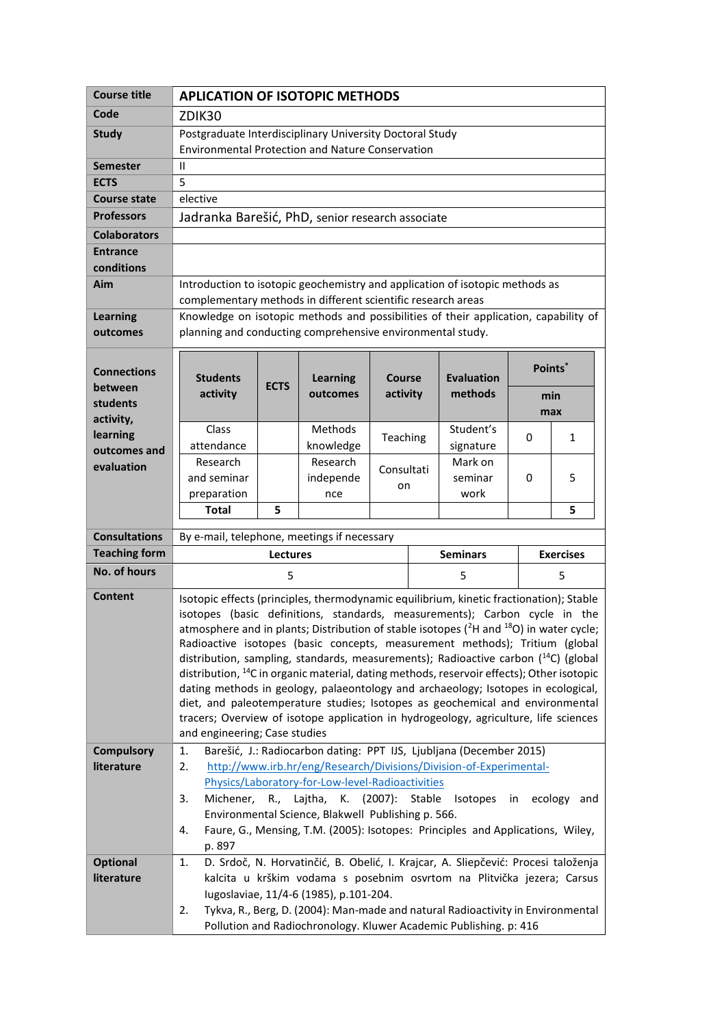| <b>Course title</b>   | <b>APLICATION OF ISOTOPIC METHODS</b>                                                                                                                                                      |             |                                                                                   |            |  |                                     |     |              |  |
|-----------------------|--------------------------------------------------------------------------------------------------------------------------------------------------------------------------------------------|-------------|-----------------------------------------------------------------------------------|------------|--|-------------------------------------|-----|--------------|--|
| Code                  | ZDIK30                                                                                                                                                                                     |             |                                                                                   |            |  |                                     |     |              |  |
| <b>Study</b>          | Postgraduate Interdisciplinary University Doctoral Study                                                                                                                                   |             |                                                                                   |            |  |                                     |     |              |  |
|                       | <b>Environmental Protection and Nature Conservation</b>                                                                                                                                    |             |                                                                                   |            |  |                                     |     |              |  |
| <b>Semester</b>       | Ш                                                                                                                                                                                          |             |                                                                                   |            |  |                                     |     |              |  |
| <b>ECTS</b>           | 5                                                                                                                                                                                          |             |                                                                                   |            |  |                                     |     |              |  |
| <b>Course state</b>   | elective                                                                                                                                                                                   |             |                                                                                   |            |  |                                     |     |              |  |
| Professors            | Jadranka Barešić, PhD, senior research associate                                                                                                                                           |             |                                                                                   |            |  |                                     |     |              |  |
| <b>Colaborators</b>   |                                                                                                                                                                                            |             |                                                                                   |            |  |                                     |     |              |  |
| <b>Entrance</b>       |                                                                                                                                                                                            |             |                                                                                   |            |  |                                     |     |              |  |
| conditions            |                                                                                                                                                                                            |             |                                                                                   |            |  |                                     |     |              |  |
| Aim                   | Introduction to isotopic geochemistry and application of isotopic methods as                                                                                                               |             |                                                                                   |            |  |                                     |     |              |  |
|                       | complementary methods in different scientific research areas                                                                                                                               |             |                                                                                   |            |  |                                     |     |              |  |
| <b>Learning</b>       | Knowledge on isotopic methods and possibilities of their application, capability of<br>planning and conducting comprehensive environmental study.                                          |             |                                                                                   |            |  |                                     |     |              |  |
| outcomes              |                                                                                                                                                                                            |             |                                                                                   |            |  |                                     |     |              |  |
|                       |                                                                                                                                                                                            |             |                                                                                   |            |  |                                     |     | Points*      |  |
| <b>Connections</b>    | <b>Students</b>                                                                                                                                                                            |             | <b>Learning</b>                                                                   | Course     |  | <b>Evaluation</b>                   |     |              |  |
| between               | activity                                                                                                                                                                                   | <b>ECTS</b> | outcomes                                                                          | activity   |  | methods                             | min |              |  |
| students<br>activity, |                                                                                                                                                                                            |             |                                                                                   |            |  |                                     | max |              |  |
| learning              | Class                                                                                                                                                                                      |             | Methods                                                                           | Teaching   |  | Student's                           | 0   | $\mathbf{1}$ |  |
| outcomes and          | attendance                                                                                                                                                                                 |             | knowledge                                                                         |            |  | signature                           |     |              |  |
| evaluation            | Research                                                                                                                                                                                   |             | Research                                                                          | Consultati |  | Mark on                             |     |              |  |
|                       | and seminar                                                                                                                                                                                |             | independe                                                                         | on         |  | seminar                             | 0   | 5            |  |
|                       | preparation                                                                                                                                                                                |             | nce                                                                               |            |  | work                                |     |              |  |
|                       | <b>Total</b>                                                                                                                                                                               | 5           |                                                                                   |            |  |                                     |     | 5            |  |
| <b>Consultations</b>  | By e-mail, telephone, meetings if necessary                                                                                                                                                |             |                                                                                   |            |  |                                     |     |              |  |
| <b>Teaching form</b>  | <b>Lectures</b>                                                                                                                                                                            |             |                                                                                   |            |  | <b>Seminars</b><br><b>Exercises</b> |     |              |  |
| <b>No. of hours</b>   | 5                                                                                                                                                                                          |             |                                                                                   |            |  | 5                                   | 5   |              |  |
| Content               |                                                                                                                                                                                            |             |                                                                                   |            |  |                                     |     |              |  |
|                       | Isotopic effects (principles, thermodynamic equilibrium, kinetic fractionation); Stable<br>isotopes (basic definitions, standards, measurements); Carbon cycle in the                      |             |                                                                                   |            |  |                                     |     |              |  |
|                       | atmosphere and in plants; Distribution of stable isotopes $(^{2}H$ and $^{18}O$ ) in water cycle;                                                                                          |             |                                                                                   |            |  |                                     |     |              |  |
|                       | Radioactive isotopes (basic concepts, measurement methods); Tritium (global                                                                                                                |             |                                                                                   |            |  |                                     |     |              |  |
|                       | distribution, sampling, standards, measurements); Radioactive carbon $(^{14}C)$ (global                                                                                                    |             |                                                                                   |            |  |                                     |     |              |  |
|                       | distribution, <sup>14</sup> C in organic material, dating methods, reservoir effects); Other isotopic<br>dating methods in geology, palaeontology and archaeology; Isotopes in ecological, |             |                                                                                   |            |  |                                     |     |              |  |
|                       | diet, and paleotemperature studies; Isotopes as geochemical and environmental                                                                                                              |             |                                                                                   |            |  |                                     |     |              |  |
|                       | tracers; Overview of isotope application in hydrogeology, agriculture, life sciences                                                                                                       |             |                                                                                   |            |  |                                     |     |              |  |
|                       | and engineering; Case studies                                                                                                                                                              |             |                                                                                   |            |  |                                     |     |              |  |
| <b>Compulsory</b>     | Barešić, J.: Radiocarbon dating: PPT IJS, Ljubljana (December 2015)<br>1.                                                                                                                  |             |                                                                                   |            |  |                                     |     |              |  |
| literature            | http://www.irb.hr/eng/Research/Divisions/Division-of-Experimental-<br>2.                                                                                                                   |             |                                                                                   |            |  |                                     |     |              |  |
|                       | Physics/Laboratory-for-Low-level-Radioactivities                                                                                                                                           |             |                                                                                   |            |  |                                     |     |              |  |
|                       | Lajtha, K. (2007): Stable<br>Isotopes<br>ecology<br>3.<br>Michener, R.,<br>in<br>and                                                                                                       |             |                                                                                   |            |  |                                     |     |              |  |
|                       | Environmental Science, Blakwell Publishing p. 566.                                                                                                                                         |             |                                                                                   |            |  |                                     |     |              |  |
|                       | Faure, G., Mensing, T.M. (2005): Isotopes: Principles and Applications, Wiley,<br>4.<br>p. 897                                                                                             |             |                                                                                   |            |  |                                     |     |              |  |
| <b>Optional</b>       | 1.                                                                                                                                                                                         |             | D. Srdoč, N. Horvatinčić, B. Obelić, I. Krajcar, A. Sliepčević: Procesi taloženja |            |  |                                     |     |              |  |
| literature            |                                                                                                                                                                                            |             | kalcita u krškim vodama s posebnim osvrtom na Plitvička jezera; Carsus            |            |  |                                     |     |              |  |
|                       | Iugoslaviae, 11/4-6 (1985), p.101-204.                                                                                                                                                     |             |                                                                                   |            |  |                                     |     |              |  |
|                       |                                                                                                                                                                                            |             |                                                                                   |            |  |                                     |     |              |  |
|                       | 2.                                                                                                                                                                                         |             | Tykva, R., Berg, D. (2004): Man-made and natural Radioactivity in Environmental   |            |  |                                     |     |              |  |